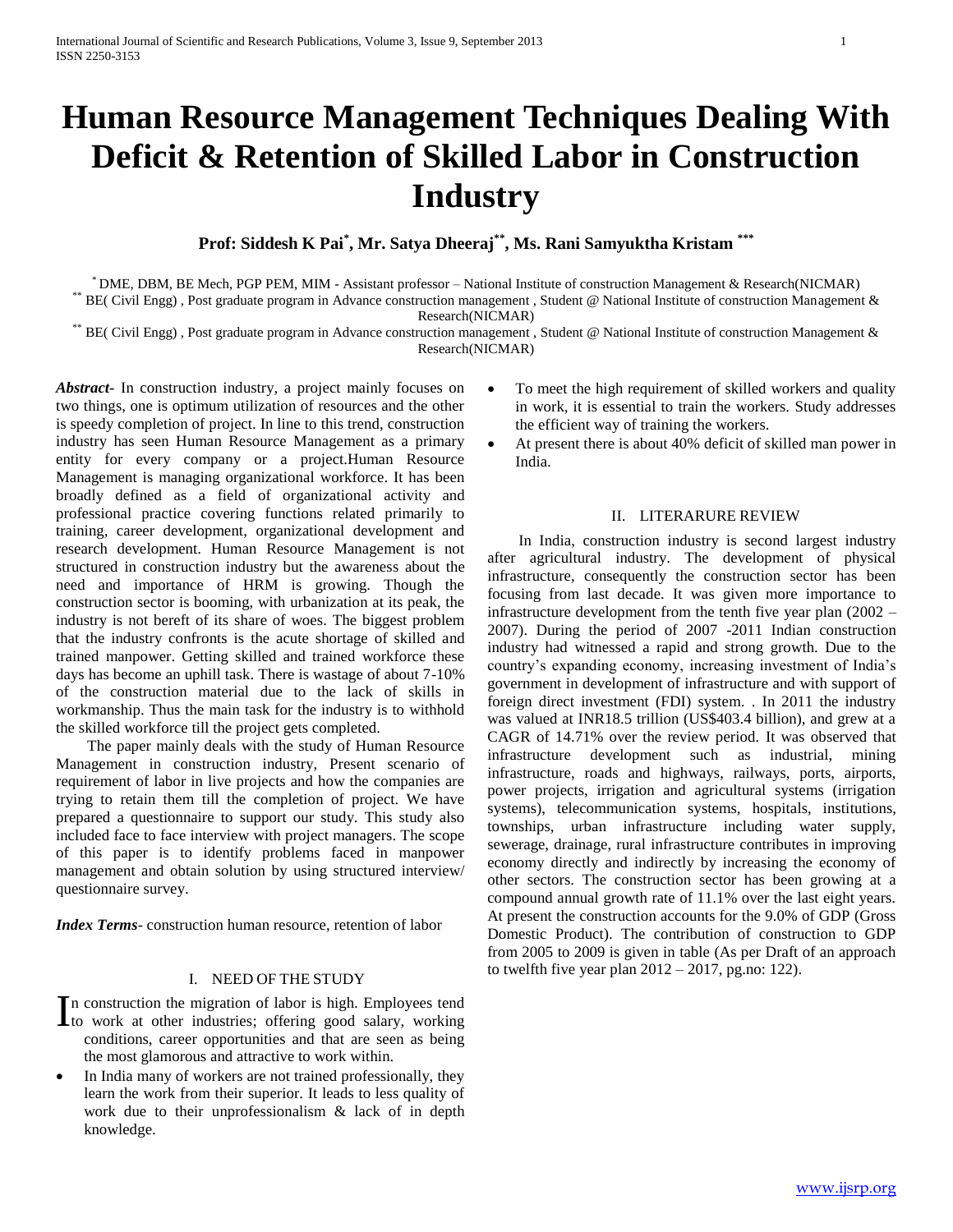# **Human Resource Management Techniques Dealing With Deficit & Retention of Skilled Labor in Construction Industry**

**Prof: Siddesh K Pai\* , Mr. Satya Dheeraj\*\* , Ms. Rani Samyuktha Kristam \*\*\***

\* DME, DBM, BE Mech, PGP PEM, MIM - Assistant professor – National Institute of construction Management & Research(NICMAR) BE( Civil Engg), Post graduate program in Advance construction management, Student @ National Institute of construction Management & Research(NICMAR)

\*\* BE( Civil Engg) , Post graduate program in Advance construction management , Student @ National Institute of construction Management & Research(NICMAR)

*Abstract***-** In construction industry, a project mainly focuses on two things, one is optimum utilization of resources and the other is speedy completion of project. In line to this trend, construction industry has seen Human Resource Management as a primary entity for every company or a project.Human Resource Management is managing organizational workforce. It has been broadly defined as a field of organizational activity and professional practice covering functions related primarily to training, career development, organizational development and research development. Human Resource Management is not structured in construction industry but the awareness about the need and importance of HRM is growing. Though the construction sector is booming, with urbanization at its peak, the industry is not bereft of its share of woes. The biggest problem that the industry confronts is the acute shortage of skilled and trained manpower. Getting skilled and trained workforce these days has become an uphill task. There is wastage of about 7-10% of the construction material due to the lack of skills in workmanship. Thus the main task for the industry is to withhold the skilled workforce till the project gets completed.

 The paper mainly deals with the study of Human Resource Management in construction industry, Present scenario of requirement of labor in live projects and how the companies are trying to retain them till the completion of project. We have prepared a questionnaire to support our study. This study also included face to face interview with project managers. The scope of this paper is to identify problems faced in manpower management and obtain solution by using structured interview/ questionnaire survey.

*Index Terms*- construction human resource, retention of labor

## I. NEED OF THE STUDY

n construction the migration of labor is high. Employees tend In construction the migration of labor is high. Employees tend<br>to work at other industries; offering good salary, working conditions, career opportunities and that are seen as being the most glamorous and attractive to work within.

• In India many of workers are not trained professionally, they learn the work from their superior. It leads to less quality of work due to their unprofessionalism & lack of in depth knowledge.

- To meet the high requirement of skilled workers and quality in work, it is essential to train the workers. Study addresses the efficient way of training the workers.
- At present there is about 40% deficit of skilled man power in India.

## II. LITERARURE REVIEW

 In India, construction industry is second largest industry after agricultural industry. The development of physical infrastructure, consequently the construction sector has been focusing from last decade. It was given more importance to infrastructure development from the tenth five year plan (2002 – 2007). During the period of 2007 -2011 Indian construction industry had witnessed a rapid and strong growth. Due to the country's expanding economy, increasing investment of India's government in development of infrastructure and with support of foreign direct investment (FDI) system. . In 2011 the industry was valued at INR18.5 trillion (US\$403.4 billion), and grew at a CAGR of 14.71% over the review period. It was observed that infrastructure development such as industrial, mining infrastructure, roads and highways, railways, ports, airports, power projects, irrigation and agricultural systems (irrigation systems), telecommunication systems, hospitals, institutions, townships, urban infrastructure including water supply, sewerage, drainage, rural infrastructure contributes in improving economy directly and indirectly by increasing the economy of other sectors. The construction sector has been growing at a compound annual growth rate of 11.1% over the last eight years. At present the construction accounts for the 9.0% of GDP (Gross Domestic Product). The contribution of construction to GDP from 2005 to 2009 is given in table (As per Draft of an approach to twelfth five year plan  $2012 - 2017$ , pg.no: 122).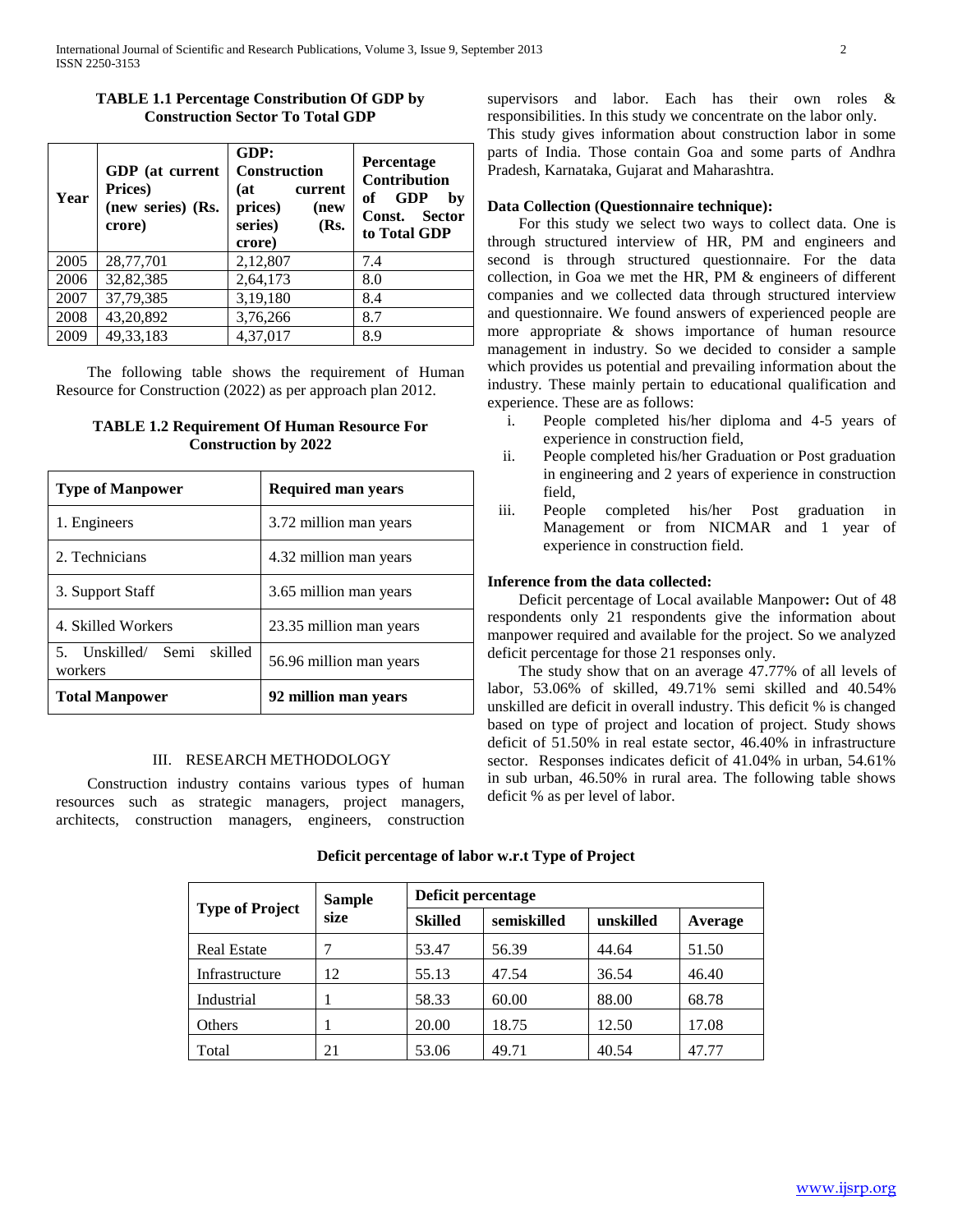# **TABLE 1.1 Percentage Constribution Of GDP by Construction Sector To Total GDP**

| Year | GDP (at current<br>Prices)<br>(new series) (Rs.<br>crore) | GDP:<br><b>Construction</b><br>(at<br>current<br>prices)<br>(new<br>series)<br>(Rs.<br>crore) | <b>Percentage</b><br>Contribution<br><b>GDP</b><br>of<br>by<br>Sector<br>Const.<br>to Total GDP |
|------|-----------------------------------------------------------|-----------------------------------------------------------------------------------------------|-------------------------------------------------------------------------------------------------|
| 2005 | 28,77,701                                                 | 2,12,807                                                                                      | 7.4                                                                                             |
| 2006 | 32,82,385                                                 | 2,64,173                                                                                      | 8.0                                                                                             |
| 2007 | 37,79,385                                                 | 3,19,180                                                                                      | 8.4                                                                                             |
| 2008 | 43,20,892                                                 | 3,76,266                                                                                      | 8.7                                                                                             |
| 2009 | 49, 33, 183                                               | 4,37,017                                                                                      | 8.9                                                                                             |

 The following table shows the requirement of Human Resource for Construction (2022) as per approach plan 2012.

| <b>TABLE 1.2 Requirement Of Human Resource For</b> |  |
|----------------------------------------------------|--|
| <b>Construction by 2022</b>                        |  |

| <b>Type of Manpower</b>                  | <b>Required man years</b> |
|------------------------------------------|---------------------------|
| 1. Engineers                             | 3.72 million man years    |
| 2. Technicians                           | 4.32 million man years    |
| 3. Support Staff                         | 3.65 million man years    |
| 4. Skilled Workers                       | 23.35 million man years   |
| 5. Unskilled/ Semi<br>skilled<br>workers | 56.96 million man years   |
| <b>Total Manpower</b>                    | 92 million man years      |

# III. RESEARCH METHODOLOGY

 Construction industry contains various types of human resources such as strategic managers, project managers, architects, construction managers, engineers, construction supervisors and labor. Each has their own roles & responsibilities. In this study we concentrate on the labor only. This study gives information about construction labor in some parts of India. Those contain Goa and some parts of Andhra

# **Data Collection (Questionnaire technique):**

Pradesh, Karnataka, Gujarat and Maharashtra.

 For this study we select two ways to collect data. One is through structured interview of HR, PM and engineers and second is through structured questionnaire. For the data collection, in Goa we met the HR, PM & engineers of different companies and we collected data through structured interview and questionnaire. We found answers of experienced people are more appropriate & shows importance of human resource management in industry. So we decided to consider a sample which provides us potential and prevailing information about the industry. These mainly pertain to educational qualification and experience. These are as follows:

- i. People completed his/her diploma and 4-5 years of experience in construction field,
- ii. People completed his/her Graduation or Post graduation in engineering and 2 years of experience in construction field,
- iii. People completed his/her Post graduation in Management or from NICMAR and 1 year of experience in construction field.

# **Inference from the data collected:**

 Deficit percentage of Local available Manpower**:** Out of 48 respondents only 21 respondents give the information about manpower required and available for the project. So we analyzed deficit percentage for those 21 responses only.

 The study show that on an average 47.77% of all levels of labor, 53.06% of skilled, 49.71% semi skilled and 40.54% unskilled are deficit in overall industry. This deficit % is changed based on type of project and location of project. Study shows deficit of 51.50% in real estate sector, 46.40% in infrastructure sector. Responses indicates deficit of 41.04% in urban, 54.61% in sub urban, 46.50% in rural area. The following table shows deficit % as per level of labor.

|                        | <b>Sample</b> | Deficit percentage |             |           |         |  |
|------------------------|---------------|--------------------|-------------|-----------|---------|--|
| <b>Type of Project</b> | size          | <b>Skilled</b>     | semiskilled | unskilled | Average |  |
| <b>Real Estate</b>     |               | 53.47              | 56.39       | 44.64     | 51.50   |  |
| Infrastructure         | 12            | 55.13              | 47.54       | 36.54     | 46.40   |  |
| Industrial             |               | 58.33              | 60.00       | 88.00     | 68.78   |  |
| Others                 |               | 20.00              | 18.75       | 12.50     | 17.08   |  |
| Total                  | 21            | 53.06              | 49.71       | 40.54     | 47.77   |  |

# **Deficit percentage of labor w.r.t Type of Project**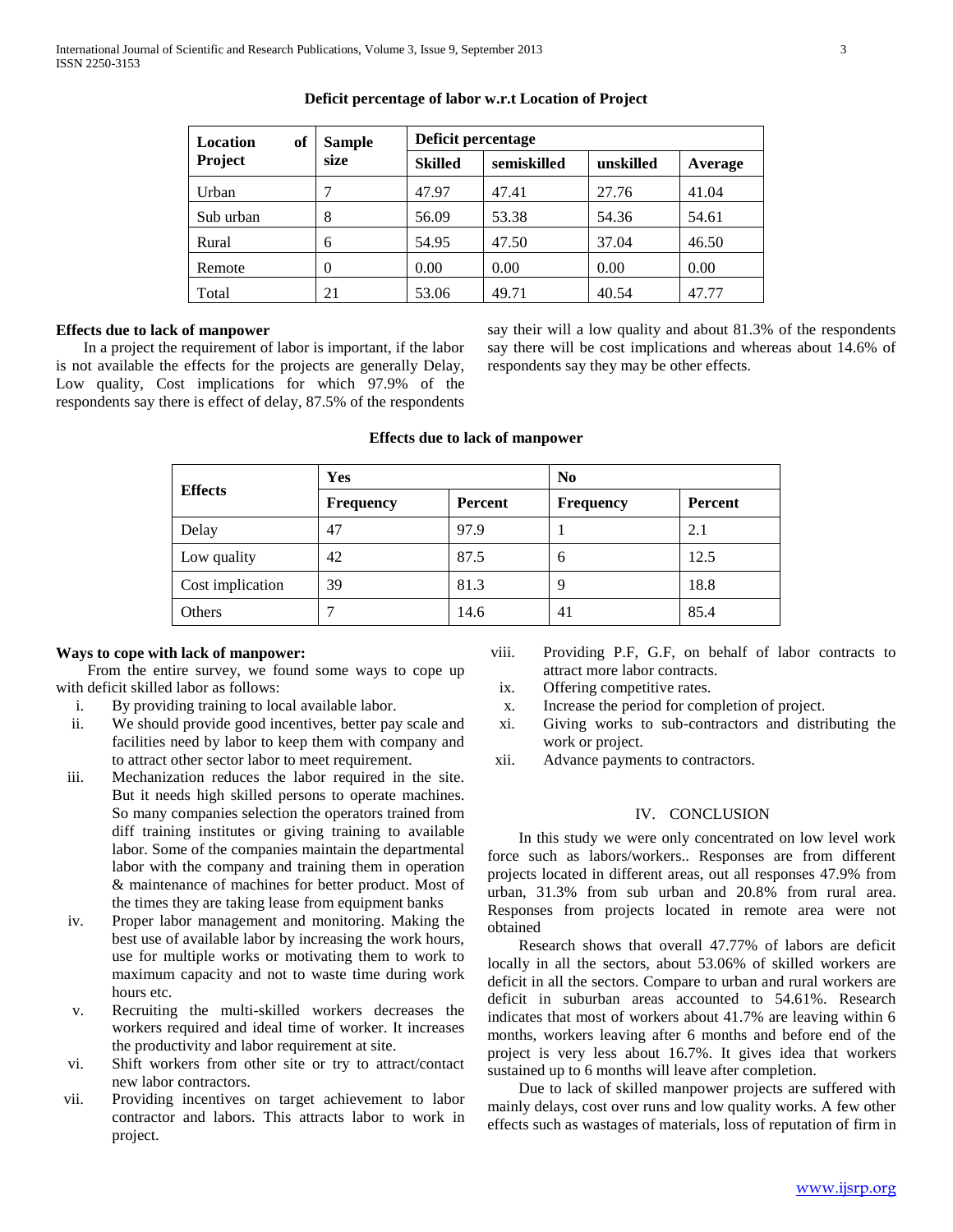| Location<br>of | <b>Sample</b> | Deficit percentage |             |           |         |
|----------------|---------------|--------------------|-------------|-----------|---------|
| Project        | size          | <b>Skilled</b>     | semiskilled | unskilled | Average |
| Urban          | 7             | 47.97              | 47.41       | 27.76     | 41.04   |
| Sub urban      | 8             | 56.09              | 53.38       | 54.36     | 54.61   |
| Rural          | 6             | 54.95              | 47.50       | 37.04     | 46.50   |
| Remote         | $\theta$      | 0.00               | 0.00        | 0.00      | 0.00    |
| Total          | 21            | 53.06              | 49.71       | 40.54     | 47.77   |

## **Deficit percentage of labor w.r.t Location of Project**

# **Effects due to lack of manpower**

 In a project the requirement of labor is important, if the labor is not available the effects for the projects are generally Delay, Low quality, Cost implications for which 97.9% of the respondents say there is effect of delay, 87.5% of the respondents

say their will a low quality and about 81.3% of the respondents say there will be cost implications and whereas about 14.6% of respondents say they may be other effects.

|                  | Yes              |                | N <sub>0</sub> |         |  |
|------------------|------------------|----------------|----------------|---------|--|
| <b>Effects</b>   | <b>Frequency</b> | <b>Percent</b> | Frequency      | Percent |  |
| Delay            | 47               | 97.9           |                | 2.1     |  |
| Low quality      | 42               | 87.5           | 6              | 12.5    |  |
| Cost implication | 39               | 81.3           | 9              | 18.8    |  |
| Others           |                  | 14.6           | 41             | 85.4    |  |

# **Effects due to lack of manpower**

# **Ways to cope with lack of manpower:**

 From the entire survey, we found some ways to cope up with deficit skilled labor as follows:

- i. By providing training to local available labor.
- ii. We should provide good incentives, better pay scale and facilities need by labor to keep them with company and to attract other sector labor to meet requirement.
- iii. Mechanization reduces the labor required in the site. But it needs high skilled persons to operate machines. So many companies selection the operators trained from diff training institutes or giving training to available labor. Some of the companies maintain the departmental labor with the company and training them in operation & maintenance of machines for better product. Most of the times they are taking lease from equipment banks
- iv. Proper labor management and monitoring. Making the best use of available labor by increasing the work hours, use for multiple works or motivating them to work to maximum capacity and not to waste time during work hours etc.
- v. Recruiting the multi-skilled workers decreases the workers required and ideal time of worker. It increases the productivity and labor requirement at site.
- vi. Shift workers from other site or try to attract/contact new labor contractors.
- vii. Providing incentives on target achievement to labor contractor and labors. This attracts labor to work in project.
- viii. Providing P.F, G.F, on behalf of labor contracts to attract more labor contracts.
- ix. Offering competitive rates.
- x. Increase the period for completion of project.
- xi. Giving works to sub-contractors and distributing the work or project.
- xii. Advance payments to contractors.

#### IV. CONCLUSION

 In this study we were only concentrated on low level work force such as labors/workers.. Responses are from different projects located in different areas, out all responses 47.9% from urban, 31.3% from sub urban and 20.8% from rural area. Responses from projects located in remote area were not obtained

 Research shows that overall 47.77% of labors are deficit locally in all the sectors, about 53.06% of skilled workers are deficit in all the sectors. Compare to urban and rural workers are deficit in suburban areas accounted to 54.61%. Research indicates that most of workers about 41.7% are leaving within 6 months, workers leaving after 6 months and before end of the project is very less about 16.7%. It gives idea that workers sustained up to 6 months will leave after completion.

 Due to lack of skilled manpower projects are suffered with mainly delays, cost over runs and low quality works. A few other effects such as wastages of materials, loss of reputation of firm in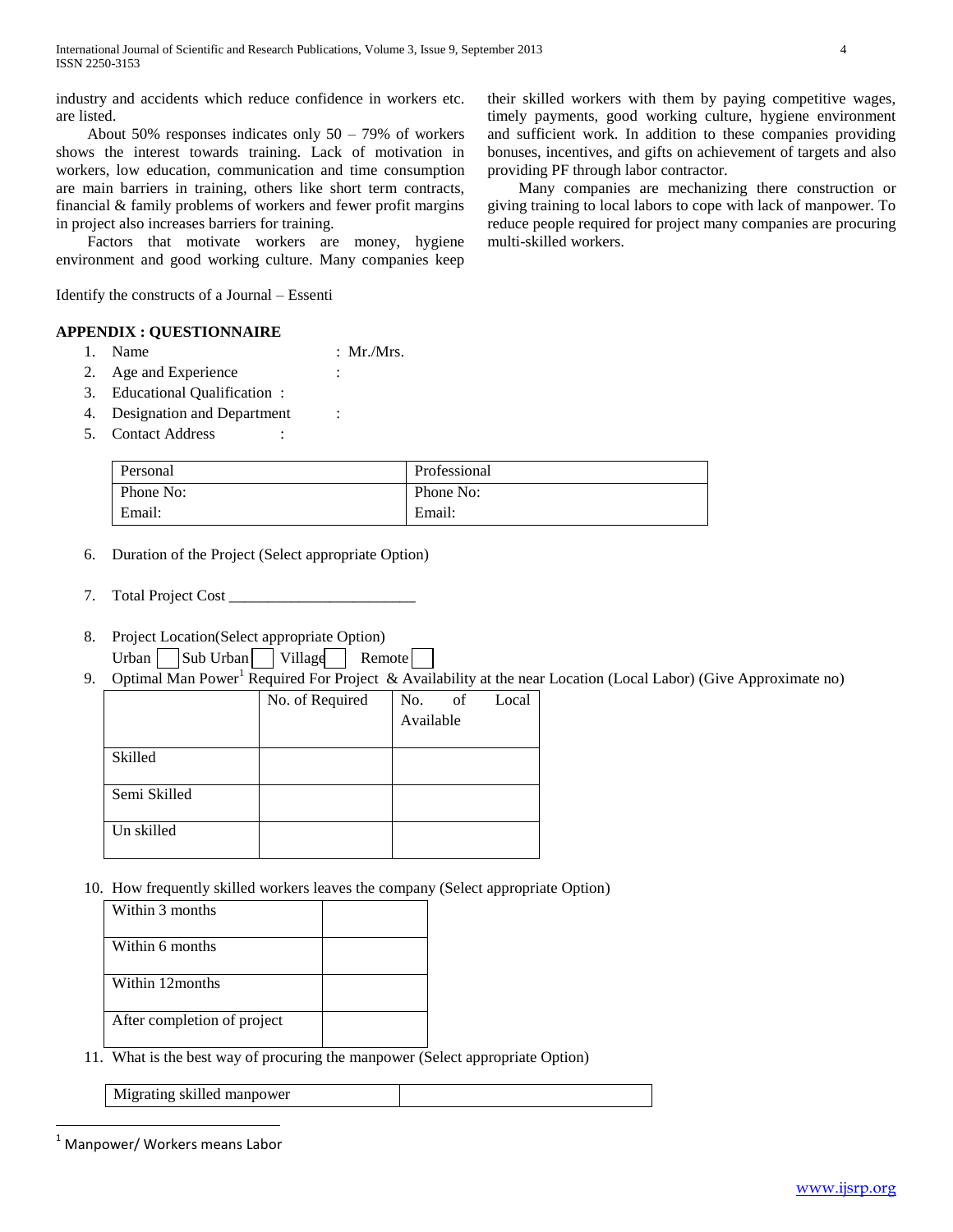industry and accidents which reduce confidence in workers etc. are listed.

About 50% responses indicates only  $50 - 79\%$  of workers shows the interest towards training. Lack of motivation in workers, low education, communication and time consumption are main barriers in training, others like short term contracts, financial & family problems of workers and fewer profit margins in project also increases barriers for training.

 Factors that motivate workers are money, hygiene environment and good working culture. Many companies keep

Identify the constructs of a Journal – Essenti

# **APPENDIX : QUESTIONNAIRE**

- 1. Name : Mr./Mrs.
- 2. Age and Experience :
- 3. Educational Qualification :
- 4. Designation and Department :
- 5. Contact Address :

| Personal  | Professional |
|-----------|--------------|
| Phone No: | Phone No:    |
| Email:    | Email:       |

- 6. Duration of the Project (Select appropriate Option)
- 7. Total Project Cost \_\_\_\_\_\_\_\_\_\_\_\_\_\_\_\_\_\_\_\_\_\_\_\_
- 8. Project Location(Select appropriate Option) Urban Sub Urban Village Remote
- 9. Optimal Man Power<sup>1</sup> Required For Project & Availability at the near Location (Local Labor) (Give Approximate no)

|              | No. of Required | No.       | of | Local |
|--------------|-----------------|-----------|----|-------|
|              |                 | Available |    |       |
|              |                 |           |    |       |
| Skilled      |                 |           |    |       |
|              |                 |           |    |       |
| Semi Skilled |                 |           |    |       |
|              |                 |           |    |       |
| Un skilled   |                 |           |    |       |
|              |                 |           |    |       |

10. How frequently skilled workers leaves the company (Select appropriate Option)

| Within 3 months             |  |
|-----------------------------|--|
| Within 6 months             |  |
| Within 12 months            |  |
| After completion of project |  |

11. What is the best way of procuring the manpower (Select appropriate Option)

Migrating skilled manpower

 $\overline{a}$ 

their skilled workers with them by paying competitive wages, timely payments, good working culture, hygiene environment and sufficient work. In addition to these companies providing bonuses, incentives, and gifts on achievement of targets and also providing PF through labor contractor.

 Many companies are mechanizing there construction or giving training to local labors to cope with lack of manpower. To reduce people required for project many companies are procuring multi-skilled workers.

<sup>1</sup> Manpower/ Workers means Labor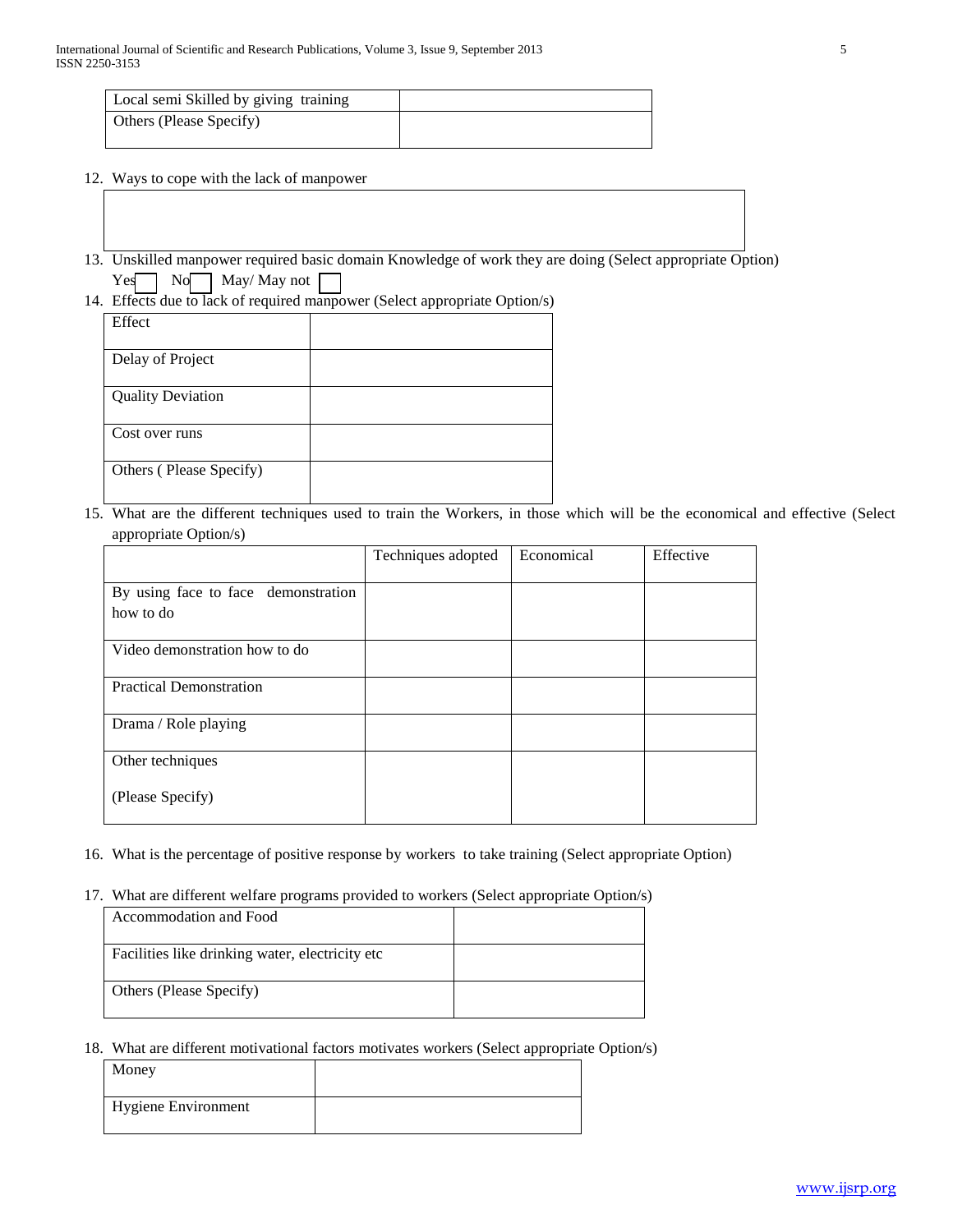| Local semi Skilled by giving training |  |
|---------------------------------------|--|
| Others (Please Specify)               |  |

- 12. Ways to cope with the lack of manpower
- 13. Unskilled manpower required basic domain Knowledge of work they are doing (Select appropriate Option) Yes No May/May not
- 14. Effects due to lack of required manpower (Select appropriate Option/s)

| Effect                   |  |
|--------------------------|--|
| Delay of Project         |  |
| <b>Quality Deviation</b> |  |
| Cost over runs           |  |
| Others (Please Specify)  |  |

15. What are the different techniques used to train the Workers, in those which will be the economical and effective (Select appropriate Option/s)

|                                     | Techniques adopted | Economical | Effective |
|-------------------------------------|--------------------|------------|-----------|
| By using face to face demonstration |                    |            |           |
| how to do                           |                    |            |           |
| Video demonstration how to do       |                    |            |           |
| <b>Practical Demonstration</b>      |                    |            |           |
| Drama / Role playing                |                    |            |           |
| Other techniques                    |                    |            |           |
| (Please Specify)                    |                    |            |           |

- 16. What is the percentage of positive response by workers to take training (Select appropriate Option)
- 17. What are different welfare programs provided to workers (Select appropriate Option/s)

| Accommodation and Food                           |  |
|--------------------------------------------------|--|
| Facilities like drinking water, electricity etc. |  |
| Others (Please Specify)                          |  |

18. What are different motivational factors motivates workers (Select appropriate Option/s)

| Money               |  |
|---------------------|--|
| Hygiene Environment |  |